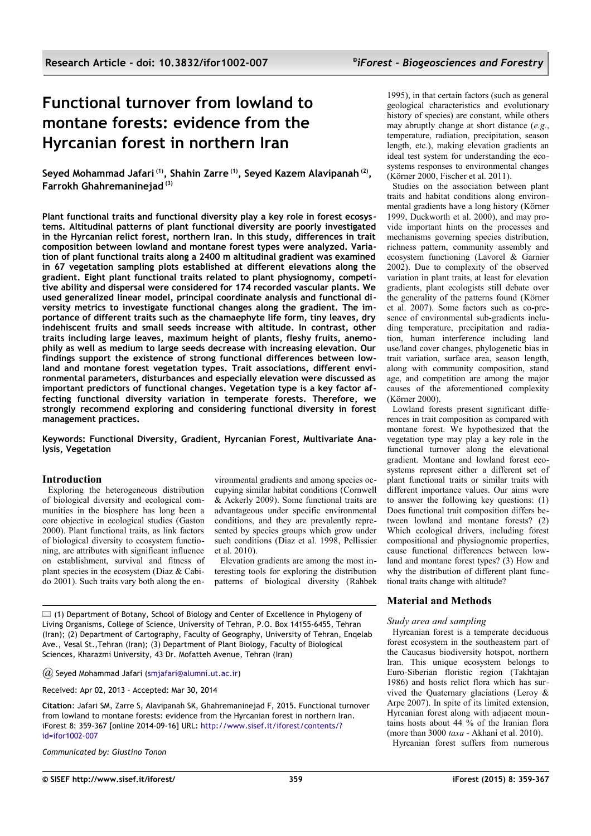# **Functional turnover from lowland to montane forests: evidence from the Hyrcanian forest in northern Iran**

**Seyed Mohammad Jafari (1), Shahin Zarre (1), Seyed Kazem Alavipanah (2) , Farrokh Ghahremaninejad (3)**

**Plant functional traits and functional diversity play a key role in forest ecosystems. Altitudinal patterns of plant functional diversity are poorly investigated in the Hyrcanian relict forest, northern Iran. In this study, differences in trait composition between lowland and montane forest types were analyzed. Variation of plant functional traits along a 2400 m altitudinal gradient was examined in 67 vegetation sampling plots established at different elevations along the gradient. Eight plant functional traits related to plant physiognomy, competitive ability and dispersal were considered for 174 recorded vascular plants. We used generalized linear model, principal coordinate analysis and functional diversity metrics to investigate functional changes along the gradient. The importance of different traits such as the chamaephyte life form, tiny leaves, dry indehiscent fruits and small seeds increase with altitude. In contrast, other traits including large leaves, maximum height of plants, fleshy fruits, anemophily as well as medium to large seeds decrease with increasing elevation. Our findings support the existence of strong functional differences between lowland and montane forest vegetation types. Trait associations, different environmental parameters, disturbances and especially elevation were discussed as important predictors of functional changes. Vegetation type is a key factor affecting functional diversity variation in temperate forests. Therefore, we strongly recommend exploring and considering functional diversity in forest management practices.**

**Keywords: Functional Diversity, Gradient, Hyrcanian Forest, Multivariate Analysis, Vegetation**

# **Introduction**

Exploring the heterogeneous distribution of biological diversity and ecological communities in the biosphere has long been a core objective in ecological studies (Gaston 2000). Plant functional traits, as link factors of biological diversity to ecosystem functioning, are attributes with significant influence on establishment, survival and fitness of plant species in the ecosystem (Diaz & Cabido 2001). Such traits vary both along the environmental gradients and among species occupying similar habitat conditions (Cornwell & Ackerly 2009). Some functional traits are advantageous under specific environmental conditions, and they are prevalently represented by species groups which grow under such conditions (Diaz et al. 1998, Pellissier et al. 2010).

Elevation gradients are among the most interesting tools for exploring the distribution patterns of biological diversity (Rahbek

 $\Box$  (1) Department of Botany, School of Biology and Center of Excellence in Phylogeny of Living Organisms, College of Science, University of Tehran, P.O. Box 14155-6455, Tehran (Iran); (2) Department of Cartography, Faculty of Geography, University of Tehran, Enqelab Ave., Vesal St.,Tehran (Iran); (3) Department of Plant Biology, Faculty of Biological Sciences, Kharazmi University, 43 Dr. Mofatteh Avenue, Tehran (Iran)

*@* Seyed Mohammad Jafari [\(smjafari@alumni.ut.ac.ir\)](mailto:smjafari@alumni.ut.ac.ir)

Received: Apr 02, 2013 - Accepted: Mar 30, 2014

**Citation**: Jafari SM, Zarre S, Alavipanah SK, Ghahremaninejad F, 2015. Functional turnover from lowland to montane forests: evidence from the Hyrcanian forest in northern Iran. iForest 8: 359-367 [online 2014-09-16] URL: [http://www.sisef.it/iforest/contents/?](http://www.sisef.it/iforest/contents/?id=ifor1002-007) [id=ifor1002-007](http://www.sisef.it/iforest/contents/?id=ifor1002-007)

*Communicated by: Giustino Tonon*

1995), in that certain factors (such as general geological characteristics and evolutionary history of species) are constant, while others may abruptly change at short distance (*e.g.*, temperature, radiation, precipitation, season length, etc.), making elevation gradients an ideal test system for understanding the ecosystems responses to environmental changes (Körner 2000, Fischer et al. 2011).

Studies on the association between plant traits and habitat conditions along environmental gradients have a long history (Körner 1999, Duckworth et al. 2000), and may provide important hints on the processes and mechanisms governing species distribution, richness pattern, community assembly and ecosystem functioning (Lavorel & Garnier 2002). Due to complexity of the observed variation in plant traits, at least for elevation gradients, plant ecologists still debate over the generality of the patterns found (Körner et al. 2007). Some factors such as co-presence of environmental sub-gradients including temperature, precipitation and radiation, human interference including land use/land cover changes, phylogenetic bias in trait variation, surface area, season length, along with community composition, stand age, and competition are among the major causes of the aforementioned complexity (Körner 2000).

Lowland forests present significant differences in trait composition as compared with montane forest. We hypothesized that the vegetation type may play a key role in the functional turnover along the elevational gradient. Montane and lowland forest ecosystems represent either a different set of plant functional traits or similar traits with different importance values. Our aims were to answer the following key questions: (1) Does functional trait composition differs between lowland and montane forests? (2) Which ecological drivers, including forest compositional and physiognomic properties, cause functional differences between lowland and montane forest types? (3) How and why the distribution of different plant functional traits change with altitude?

# **Material and Methods**

# *Study area and sampling*

Hyrcanian forest is a temperate deciduous forest ecosystem in the southeastern part of the Caucasus biodiversity hotspot, northern Iran. This unique ecosystem belongs to Euro-Siberian floristic region (Takhtajan 1986) and hosts relict flora which has survived the Quaternary glaciations (Leroy & Arpe 2007). In spite of its limited extension, Hyrcanian forest along with adjacent mountains hosts about 44 % of the Iranian flora (more than 3000 *taxa -* Akhani et al. 2010).

Hyrcanian forest suffers from numerous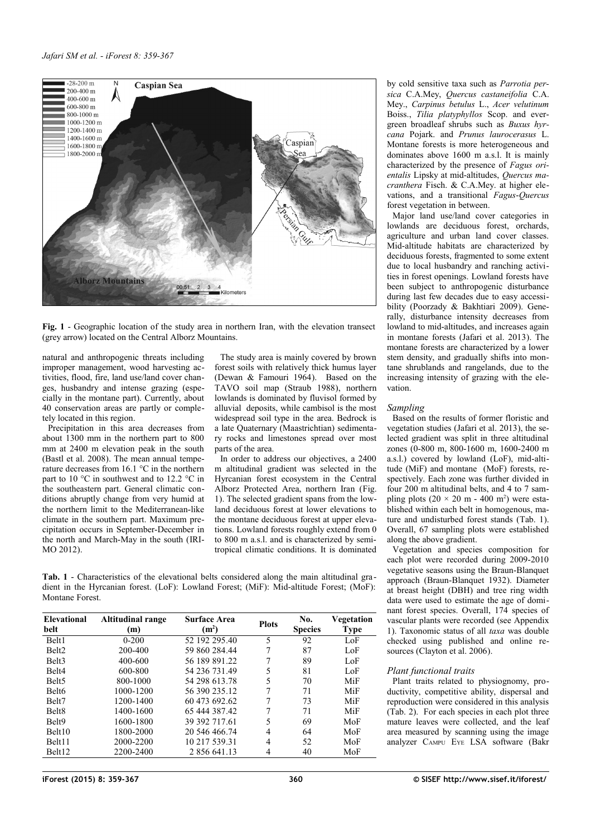

<span id="page-1-0"></span>**Fig. 1** - Geographic location of the study area in northern Iran, with the elevation transect (grey arrow) located on the Central Alborz Mountains.

natural and anthropogenic threats including improper management, wood harvesting activities, flood, fire, land use/land cover changes, husbandry and intense grazing (especially in the montane part). Currently, about 40 conservation areas are partly or completely located in this region.

Precipitation in this area decreases from about 1300 mm in the northern part to 800 mm at 2400 m elevation peak in the south (Bastl et al. 2008). The mean annual temperature decreases from 16.1 °C in the northern part to 10 °C in southwest and to 12.2 °C in the southeastern part. General climatic conditions abruptly change from very humid at the northern limit to the Mediterranean-like climate in the southern part. Maximum precipitation occurs in September-December in the north and March-May in the south (IRI-MO 2012).

The study area is mainly covered by brown forest soils with relatively thick humus layer (Dewan & Famouri 1964). Based on the TAVO soil map (Straub 1988), northern lowlands is dominated by fluvisol formed by alluvial deposits, while cambisol is the most widespread soil type in the area. Bedrock is a late Quaternary (Maastrichtian) sedimentary rocks and limestones spread over most parts of the area.

In order to address our objectives, a 2400 m altitudinal gradient was selected in the Hyrcanian forest ecosystem in the Central Alborz Protected Area, northern Iran [\(Fig.](#page-1-0) [1\)](#page-1-0). The selected gradient spans from the lowland deciduous forest at lower elevations to the montane deciduous forest at upper elevations. Lowland forests roughly extend from 0 to 800 m a.s.l. and is characterized by semitropical climatic conditions. It is dominated

<span id="page-1-1"></span>**Tab. 1** - Characteristics of the elevational belts considered along the main altitudinal gradient in the Hyrcanian forest. (LoF): Lowland Forest; (MiF): Mid-altitude Forest; (MoF): Montane Forest.

| <b>Elevational</b><br>belt | <b>Altitudinal range</b><br>(m) | <b>Surface Area</b><br><b>Plots</b><br>(m <sup>2</sup> ) |   | No.<br><b>Species</b> | Vegetation<br><b>Type</b> |  |
|----------------------------|---------------------------------|----------------------------------------------------------|---|-----------------------|---------------------------|--|
| Belt1                      | $0 - 200$                       | 52 192 295.40                                            | 5 | 92                    | LoF                       |  |
| Belt <sub>2</sub>          | 200-400                         | 59 860 284 44                                            |   | 87                    | LoF                       |  |
| Belt <sub>3</sub>          | 400-600                         | 56 189 891 22                                            | 7 | 89                    | LoF                       |  |
| Belt <sub>4</sub>          | 600-800                         | 54 236 731 49                                            | 5 | 81                    | LoF                       |  |
| Belt <sub>5</sub>          | 800-1000                        | 54 298 613.78                                            | 5 | 70                    | MiF                       |  |
| Belt <sub>6</sub>          | 1000-1200                       | 56 390 235.12                                            | 7 | 71                    | MiF                       |  |
| Belt7                      | 1200-1400                       | 60 473 692.62                                            | 7 | 73                    | MiF                       |  |
| Belt <sub>8</sub>          | 1400-1600                       | 65 444 387.42                                            | 7 | 71                    | MiF                       |  |
| Belt9                      | 1600-1800                       | 39 392 717.61                                            | 5 | 69                    | MoF                       |  |
| Belt10                     | 1800-2000                       | 20 546 466 74                                            | 4 | 64                    | MoF                       |  |
| Belt <sub>11</sub>         | 2000-2200                       | 10 217 539.31                                            | 4 | 52                    | MoF                       |  |
| Belt12                     | 2200-2400                       | 2 856 641.13                                             | 4 | 40                    | MoF                       |  |

by cold sensitive taxa such as *Parrotia persica* C.A.Mey, *Quercus castaneifolia* C.A. Mey., *Carpinus betulus* L., *Acer velutinum* Boiss., *Tilia platyphyllos* Scop. and evergreen broadleaf shrubs such as *Buxus hyrcana* Pojark. and *Prunus laurocerasus* L. Montane forests is more heterogeneous and dominates above 1600 m a.s.l. It is mainly characterized by the presence of *Fagus orientalis* Lipsky at mid-altitudes, *Quercus macranthera* Fisch. & C.A.Mey. at higher elevations, and a transitional *Fagus*-*Quercus* forest vegetation in between.

Major land use/land cover categories in lowlands are deciduous forest, orchards, agriculture and urban land cover classes. Mid-altitude habitats are characterized by deciduous forests, fragmented to some extent due to local husbandry and ranching activities in forest openings. Lowland forests have been subject to anthropogenic disturbance during last few decades due to easy accessibility (Poorzady & Bakhtiari 2009). Generally, disturbance intensity decreases from lowland to mid-altitudes, and increases again in montane forests (Jafari et al. 2013). The montane forests are characterized by a lower stem density, and gradually shifts into montane shrublands and rangelands, due to the increasing intensity of grazing with the elevation.

## *Sampling*

Based on the results of former floristic and vegetation studies (Jafari et al. 2013), the selected gradient was split in three altitudinal zones (0-800 m, 800-1600 m, 1600-2400 m a.s.l.) covered by lowland (LoF), mid-altitude (MiF) and montane (MoF) forests, respectively. Each zone was further divided in four 200 m altitudinal belts, and 4 to 7 sampling plots  $(20 \times 20 \text{ m} - 400 \text{ m}^2)$  were established within each belt in homogenous, mature and undisturbed forest stands [\(Tab. 1\)](#page-1-1). Overall, 67 sampling plots were established along the above gradient.

Vegetation and species composition for each plot were recorded during 2009-2010 vegetative seasons using the Braun-Blanquet approach (Braun-Blanquet 1932). Diameter at breast height (DBH) and tree ring width data were used to estimate the age of dominant forest species. Overall, 174 species of vascular plants were recorded (see [Appendix](#page-8-0) [1\)](#page-8-0). Taxonomic status of all *taxa* was double checked using published and online resources (Clayton et al. 2006).

## *Plant functional traits*

Plant traits related to physiognomy, productivity, competitive ability, dispersal and reproduction were considered in this analysis [\(Tab. 2\)](#page-2-0). For each species in each plot three mature leaves were collected, and the leaf area measured by scanning using the image analyzer CAMPU EYE LSA software (Bakr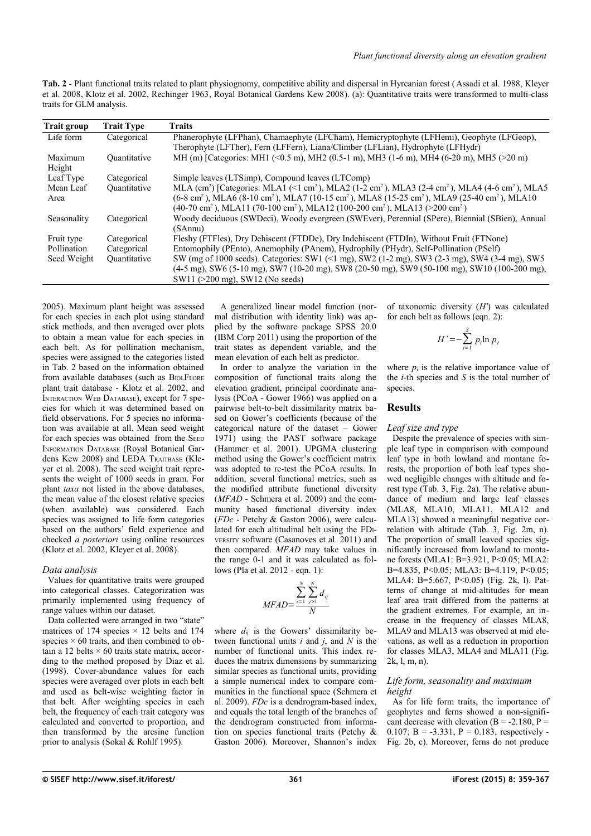<span id="page-2-0"></span>**Tab. 2** - Plant functional traits related to plant physiognomy, competitive ability and dispersal in Hyrcanian forest (Assadi et al. 1988, Kleyer et al. 2008, Klotz et al. 2002, Rechinger 1963, Royal Botanical Gardens Kew 2008). (a): Quantitative traits were transformed to multi-class traits for GLM analysis.

| <b>Trait group</b> | <b>Trait Type</b> | <b>Traits</b>                                                                                                                                                                                                                                                                                                                                                                                                                                        |
|--------------------|-------------------|------------------------------------------------------------------------------------------------------------------------------------------------------------------------------------------------------------------------------------------------------------------------------------------------------------------------------------------------------------------------------------------------------------------------------------------------------|
| Life form          | Categorical       | Phanerophyte (LFPhan), Chamaephyte (LFCham), Hemicryptophyte (LFHemi), Geophyte (LFGeop),<br>Therophyte (LFTher), Fern (LFFern), Liana/Climber (LFLian), Hydrophyte (LFHydr)                                                                                                                                                                                                                                                                         |
| Maximum<br>Height  | Quantitative      | MH (m) [Categories: MH1 (<0.5 m), MH2 (0.5-1 m), MH3 (1-6 m), MH4 (6-20 m), MH5 (>20 m)                                                                                                                                                                                                                                                                                                                                                              |
| Leaf Type          | Categorical       | Simple leaves (LTSimp), Compound leaves (LTComp)                                                                                                                                                                                                                                                                                                                                                                                                     |
| Mean Leaf<br>Area  | Ouantitative      | MLA (cm <sup>2</sup> ) [Categories: MLA1 (<1 cm <sup>2</sup> ), MLA2 (1-2 cm <sup>2</sup> ), MLA3 (2-4 cm <sup>2</sup> ), MLA4 (4-6 cm <sup>2</sup> ), MLA5<br>(6-8 cm <sup>2</sup> ), MLA6 (8-10 cm <sup>2</sup> ), MLA7 (10-15 cm <sup>2</sup> ), MLA8 (15-25 cm <sup>2</sup> ), MLA9 (25-40 cm <sup>2</sup> ), MLA10<br>$(40-70 \text{ cm}^2)$ , MLA11 (70-100 cm <sup>2</sup> ), MLA12 (100-200 cm <sup>2</sup> ), MLA13 (>200 cm <sup>2</sup> ) |
| Seasonality        | Categorical       | Woody deciduous (SWDeci), Woody evergreen (SWEver), Perennial (SPere), Biennial (SBien), Annual<br>(SAnnu)                                                                                                                                                                                                                                                                                                                                           |
| Fruit type         | Categorical       | Fleshy (FTFles), Dry Dehiscent (FTDDe), Dry Indehiscent (FTDIn), Without Fruit (FTNone)                                                                                                                                                                                                                                                                                                                                                              |
| Pollination        | Categorical       | Entomophily (PEnto), Anemophily (PAnem), Hydrophily (PHydr), Self-Pollination (PSelf)                                                                                                                                                                                                                                                                                                                                                                |
| Seed Weight        | Ouantitative      | SW (mg of 1000 seeds). Categories: SW1 (<1 mg), SW2 (1-2 mg), SW3 (2-3 mg), SW4 (3-4 mg), SW5<br>$(4-5 \text{ mg})$ , SW6 $(5-10 \text{ mg})$ , SW7 $(10-20 \text{ mg})$ , SW8 $(20-50 \text{ mg})$ , SW9 $(50-100 \text{ mg})$ , SW10 $(100-200 \text{ mg})$ ,<br>$SW11$ ( $>200$ mg), SW12 (No seeds)                                                                                                                                              |

2005). Maximum plant height was assessed for each species in each plot using standard stick methods, and then averaged over plots to obtain a mean value for each species in each belt. As for pollination mechanism, species were assigned to the categories listed in [Tab. 2](#page-2-0) based on the information obtained from available databases (such as BIOLFLORE plant trait database - Klotz et al. 2002, and INTERACTION WEB DATABASE), except for 7 species for which it was determined based on field observations. For 5 species no information was available at all. Mean seed weight for each species was obtained from the SEED INFORMATION DATABASE (Royal Botanical Gardens Kew 2008) and LEDA TRAITBASE (Kleyer et al. 2008). The seed weight trait represents the weight of 1000 seeds in gram. For plant *taxa* not listed in the above databases, the mean value of the closest relative species (when available) was considered. Each species was assigned to life form categories based on the authors' field experience and checked *a posteriori* using online resources (Klotz et al. 2002, Kleyer et al. 2008).

## *Data analysis*

Values for quantitative traits were grouped into categorical classes. Categorization was primarily implemented using frequency of range values within our dataset.

Data collected were arranged in two "state" matrices of 174 species  $\times$  12 belts and 174 species  $\times$  60 traits, and then combined to obtain a 12 belts  $\times$  60 traits state matrix, according to the method proposed by Diaz et al. (1998). Cover-abundance values for each species were averaged over plots in each belt and used as belt-wise weighting factor in that belt. After weighting species in each belt, the frequency of each trait category was calculated and converted to proportion, and then transformed by the arcsine function prior to analysis (Sokal & Rohlf 1995).

A generalized linear model function (normal distribution with identity link) was applied by the software package SPSS 20.0 (IBM Corp 2011) using the proportion of the trait states as dependent variable, and the mean elevation of each belt as predictor.

In order to analyze the variation in the composition of functional traits along the elevation gradient, principal coordinate analysis (PCoA - Gower 1966) was applied on a pairwise belt-to-belt dissimilarity matrix based on Gower's coefficients (because of the categorical nature of the dataset – Gower 1971) using the PAST software package (Hammer et al. 2001). UPGMA clustering method using the Gower's coefficient matrix was adopted to re-test the PCoA results. In addition, several functional metrics, such as the modified attribute functional diversity (*MFAD* - Schmera et al. 2009) and the community based functional diversity index (*FDc* - Petchy & Gaston 2006), were calculated for each altitudinal belt using the FDI-VERSITY software (Casanoves et al. 2011) and then compared. *MFAD* may take values in the range 0-1 and it was calculated as follows (Pla et al. 2012 - eqn. 1):

$$
MFAD = \frac{\sum_{i=1}^{N} \sum_{j>1}^{N} d_{ij}}{N}
$$

where  $d_{ij}$  is the Gowers' dissimilarity between functional units *i* and *j*, and *N* is the number of functional units. This index reduces the matrix dimensions by summarizing similar species as functional units, providing a simple numerical index to compare communities in the functional space (Schmera et al. 2009). *FDc* is a dendrogram-based index, and equals the total length of the branches of the dendrogram constructed from information on species functional traits (Petchy & Gaston 2006). Moreover, Shannon's index

of taxonomic diversity (*H′*) was calculated for each belt as follows (eqn. 2):

$$
H' = -\sum_{i=1}^{S} p_i \ln p_i
$$

where  $p_i$  is the relative importance value of the *i*-th species and *S* is the total number of species.

## **Results**

# *Leaf size and type*

Despite the prevalence of species with simple leaf type in comparison with compound leaf type in both lowland and montane forests, the proportion of both leaf types showed negligible changes with altitude and forest type [\(Tab. 3,](#page-3-0) [Fig. 2a](#page-4-0)). The relative abundance of medium and large leaf classes (MLA8, MLA10, MLA11, MLA12 and MLA13) showed a meaningful negative correlation with altitude [\(Tab. 3,](#page-3-0) [Fig. 2m](#page-4-0), n). The proportion of small leaved species significantly increased from lowland to montane forests (MLA1: B=3.921, P<0.05; MLA2: B=4.835, P<0.05; MLA3: B=4.119, P<0.05; MLA4: B=5.667, P<0.05) [\(Fig. 2k](#page-4-0), l). Patterns of change at mid-altitudes for mean leaf area trait differed from the patterns at the gradient extremes. For example, an increase in the frequency of classes MLA8, MLA9 and MLA13 was observed at mid elevations, as well as a reduction in proportion for classes MLA3, MLA4 and MLA11 [\(Fig.](#page-4-0) [2k](#page-4-0), l, m, n).

#### *Life form, seasonality and maximum height*

As for life form traits, the importance of geophytes and ferns showed a non-significant decrease with elevation  $(B = -2.180, P =$ 0.107; B =  $-3.331$ , P = 0.183, respectively -[Fig. 2b](#page-4-0), c). Moreover, ferns do not produce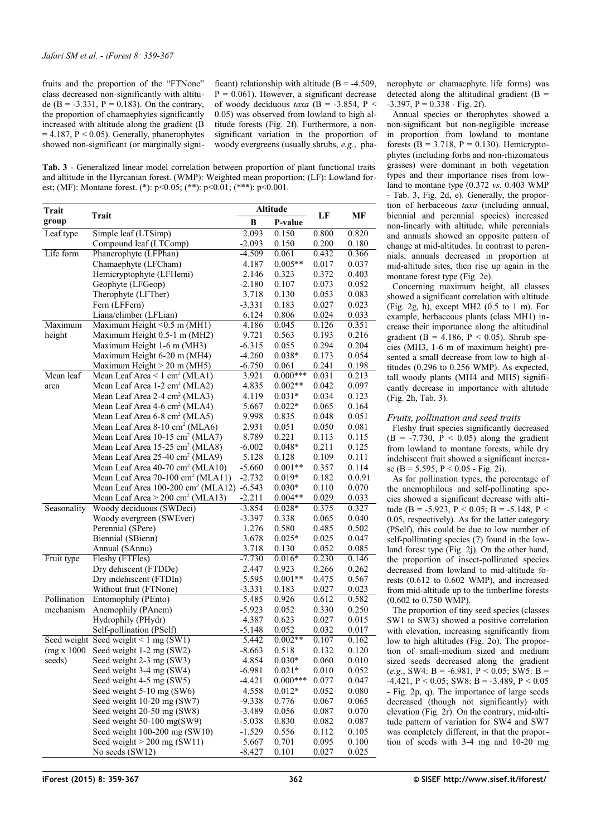fruits and the proportion of the "FTNone" class decreased non-significantly with altitude (B = -3.331, P =  $0.183$ ). On the contrary, the proportion of chamaephytes significantly increased with altitude along the gradient (B  $= 4.187$ ,  $P < 0.05$ ). Generally, phanerophytes showed non-significant (or marginally signi-

ficant) relationship with altitude  $(B = -4.509$ .  $P = 0.061$ ). However, a significant decrease of woody deciduous  $taxa$  (B = -3.854, P < 0.05) was observed from lowland to high altitude forests [\(Fig. 2f](#page-4-0)). Furthermore, a nonsignificant variation in the proportion of woody evergreens (usually shrubs, *e.g.*, pha-

<span id="page-3-0"></span>**Tab. 3** - Generalized linear model correlation between proportion of plant functional traits and altitude in the Hyrcanian forest. (WMP): Weighted mean proportion; (LF): Lowland forest; (MF): Montane forest. (\*): p<0.05; (\*\*): p<0.01; (\*\*\*): p<0.001.

| Trait                                                                                  |                                                                                               | <b>Altitude</b>   |            |       |        |
|----------------------------------------------------------------------------------------|-----------------------------------------------------------------------------------------------|-------------------|------------|-------|--------|
| <b>Trait</b><br>group                                                                  |                                                                                               | В                 | P-value    | LF    | MF     |
| Leaf type                                                                              | Simple leaf (LTSimp)                                                                          | 2.093             | 0.150      | 0.800 | 0.820  |
|                                                                                        | Compound leaf (LTComp)                                                                        | $-2.093$          | 0.150      | 0.200 | 0.180  |
| Life form                                                                              | Phanerophyte (LFPhan)                                                                         | $-4.509$          | 0.061      | 0.432 | 0.366  |
|                                                                                        | Chamaephyte (LFCham)                                                                          | 4.187             | $0.005**$  | 0.017 | 0.037  |
|                                                                                        | Hemicryptophyte (LFHemi)                                                                      | 2.146             | 0.323      | 0.372 | 0.403  |
|                                                                                        | Geophyte (LFGeop)                                                                             | $-2.180$          | 0.107      | 0.073 | 0.052  |
|                                                                                        | Therophyte (LFTher)                                                                           | 3.718             | 0.130      | 0.053 | 0.083  |
|                                                                                        | Fern (LFFern)                                                                                 | $-3.331$          | 0.183      | 0.027 | 0.023  |
| Liana/climber (LFLian)                                                                 |                                                                                               | 6.124             | 0.806      | 0.024 | 0.033  |
| Maximum                                                                                | Maximum Height $< 0.5$ m (MH1)                                                                |                   | 0.045      | 0.126 | 0.351  |
| height                                                                                 | Maximum Height 0.5-1 m (MH2)                                                                  | 4.186<br>9.721    | 0.563      | 0.193 | 0.216  |
|                                                                                        | Maximum Height 1-6 m (MH3)                                                                    | $-6.315$          | 0.055      | 0.294 | 0.204  |
|                                                                                        | Maximum Height 6-20 m (MH4)                                                                   | $-4.260$          | $0.038*$   | 0.173 | 0.054  |
|                                                                                        | Maximum Height $> 20$ m (MH5)                                                                 | $-6.750$          | 0.061      | 0.241 | 0.198  |
| Mean leaf                                                                              | Mean Leaf Area $\leq 1$ cm <sup>2</sup> (MLA1)                                                | 3.921             | $0.000***$ | 0.031 | 0.213  |
| area                                                                                   | Mean Leaf Area 1-2 cm <sup>2</sup> (MLA2)                                                     | 4.835             | $0.002**$  | 0.042 | 0.097  |
|                                                                                        | Mean Leaf Area 2-4 cm <sup>2</sup> (MLA3)                                                     | 4.119             | $0.031*$   | 0.034 | 0.123  |
|                                                                                        | Mean Leaf Area 4-6 cm <sup>2</sup> (MLA4)                                                     | 5.667             | $0.022*$   | 0.065 | 0.164  |
|                                                                                        | Mean Leaf Area 6-8 cm <sup>2</sup> (MLA5)                                                     | 9.998             | 0.835      | 0.048 | 0.051  |
|                                                                                        | Mean Leaf Area 8-10 cm <sup>2</sup> (MLA6)                                                    | 2.931             | 0.051      | 0.050 | 0.081  |
|                                                                                        | Mean Leaf Area 10-15 cm <sup>2</sup> (MLA7)                                                   |                   | 0.221      | 0.113 | 0.115  |
|                                                                                        | Mean Leaf Area 15-25 cm <sup>2</sup> (MLA8)                                                   | 8.789<br>$-6.002$ | $0.048*$   | 0.211 | 0.125  |
|                                                                                        | Mean Leaf Area 25-40 cm <sup>2</sup> (MLA9)                                                   | 5.128             | 0.128      | 0.109 | 0.111  |
|                                                                                        | Mean Leaf Area 40-70 cm <sup>2</sup> (MLA10)<br>Mean Leaf Area 70-100 cm <sup>2</sup> (MLA11) |                   | $0.001**$  | 0.357 | 0.114  |
|                                                                                        |                                                                                               |                   | $0.019*$   | 0.182 | 0.0.91 |
|                                                                                        | Mean Leaf Area 100-200 cm <sup>2</sup> (MLA12) -6.543                                         | $-2.732$          | $0.030*$   | 0.110 | 0.070  |
|                                                                                        | Mean Leaf Area $> 200$ cm <sup>2</sup> (MLA13)                                                | $-2.211$          | $0.004**$  | 0.029 | 0.033  |
| Seasonality                                                                            | Woody deciduous (SWDeci)                                                                      | $-3.854$          | $0.028*$   | 0.375 | 0.327  |
|                                                                                        | Woody evergreen (SWEver)                                                                      | $-3.397$          | 0.338      | 0.065 | 0.040  |
|                                                                                        | Perennial (SPere)                                                                             | 1.276             | 0.580      | 0.485 | 0.502  |
|                                                                                        | Biennial (SBienn)                                                                             | 3.678             | $0.025*$   | 0.025 | 0.047  |
|                                                                                        | Annual (SAnnu)                                                                                | 3.718             | 0.130      | 0.052 | 0.085  |
| Fruit type                                                                             | Fleshy (FTFles)                                                                               | $-7.730$          | $0.016*$   | 0.230 | 0.146  |
|                                                                                        | Dry dehiscent (FTDDe)                                                                         | 2.447             | 0.923      | 0.266 | 0.262  |
|                                                                                        | Dry indehiscent (FTDIn)                                                                       | 5.595             | $0.001**$  | 0.475 | 0.567  |
|                                                                                        | Without fruit (FTNone)                                                                        | $-3.331$          | 0.183      | 0.027 | 0.023  |
| Pollination                                                                            | Entomophily (PEnto)                                                                           | 5.485             | 0.926      | 0.612 | 0.582  |
| mechanism                                                                              | Anemophily (PAnem)                                                                            | $-5.923$          | 0.052      | 0.330 | 0.250  |
|                                                                                        | Hydrophily (PHydr)                                                                            | 4.387             | 0.623      | 0.027 | 0.015  |
|                                                                                        | Self-pollination (PSelf)                                                                      | $-5.148$          | 0.052      | 0.032 | 0.017  |
|                                                                                        | Seed weight Seed weight < $1 \text{ mg}$ (SW1)                                                | 5.442             | $0.002**$  | 0.107 | 0.162  |
|                                                                                        | (mg x 1000 Seed weight 1-2 mg (SW2)                                                           |                   | 0.518      | 0.132 | 0.120  |
| seeds)                                                                                 | Seed weight 2-3 mg (SW3)                                                                      | 4.854             | $0.030*$   | 0.060 | 0.010  |
|                                                                                        | Seed weight 3-4 mg (SW4)                                                                      | $-6.981$          | $0.021*$   | 0.010 | 0.052  |
|                                                                                        | Seed weight 4-5 mg (SW5)                                                                      | $-4.421$          | $0.000***$ | 0.077 | 0.047  |
|                                                                                        | Seed weight 5-10 mg (SW6)                                                                     | 4.558             | $0.012*$   | 0.052 | 0.080  |
| Seed weight 10-20 mg (SW7)<br>Seed weight 20-50 mg (SW8)<br>Seed weight 50-100 mg(SW9) |                                                                                               | $-9.338$          | 0.776      | 0.067 | 0.065  |
|                                                                                        |                                                                                               | $-3.489$          | 0.056      | 0.087 | 0.070  |
|                                                                                        |                                                                                               | $-5.038$          | 0.830      | 0.082 | 0.087  |
|                                                                                        | Seed weight $100-200$ mg (SW10)                                                               | $-1.529$          | 0.556      | 0.112 | 0.105  |
|                                                                                        | Seed weight $> 200$ mg (SW11)                                                                 | 5.667             | 0.701      | 0.095 | 0.100  |
|                                                                                        | No seeds (SW12)                                                                               | $-8.427$          | 0.101      | 0.027 | 0.025  |

nerophyte or chamaephyte life forms) was detected along the altitudinal gradient  $(B =$  $-3.397$ ,  $P = 0.338 - Fig. 2f$  $P = 0.338 - Fig. 2f$ .

Annual species or therophytes showed a non-significant but non-negligible increase in proportion from lowland to montane forests ( $B = 3.718$ ,  $P = 0.130$ ). Hemicryptophytes (including forbs and non-rhizomatous grasses) were dominant in both vegetation types and their importance rises from lowland to montane type (0.372 *vs.* 0.403 WMP - [Tab. 3,](#page-3-0) [Fig. 2d](#page-4-0), e). Generally, the proportion of herbaceous *taxa* (including annual, biennial and perennial species) increased non-linearly with altitude, while perennials and annuals showed an opposite pattern of change at mid-altitudes. In contrast to perennials, annuals decreased in proportion at mid-altitude sites, then rise up again in the montane forest type [\(Fig. 2e](#page-4-0)).

Concerning maximum height, all classes showed a significant correlation with altitude [\(Fig. 2g](#page-4-0), h), except MH2  $(0.5 \text{ to } 1 \text{ m})$ . For example, herbaceous plants (class MH1) increase their importance along the altitudinal gradient (B =  $4.186$ , P < 0.05). Shrub species (MH3, 1-6 m of maximum height) presented a small decrease from low to high altitudes (0.296 to 0.256 WMP). As expected, tall woody plants (MH4 and MH5) significantly decrease in importance with altitude [\(Fig. 2h](#page-4-0), [Tab. 3\)](#page-3-0).

### *Fruits, pollination and seed traits*

Fleshy fruit species significantly decreased  $(B = -7.730, P < 0.05)$  along the gradient from lowland to montane forests, while dry indehiscent fruit showed a significant increa-se (B = 5.595, P < 0.05 - [Fig. 2i](#page-4-0)).

As for pollination types, the percentage of the anemophilous and self-pollinating species showed a significant decrease with altitude (B = -5.923, P < 0.05; B = -5.148, P < 0.05, respectively). As for the latter category (PSelf), this could be due to low number of self-pollinating species (7) found in the lowland forest type [\(Fig. 2j](#page-4-0)). On the other hand, the proportion of insect-pollinated species decreased from lowland to mid-altitude forests (0.612 to 0.602 WMP), and increased from mid-altitude up to the timberline forests (0.602 to 0.750 WMP).

The proportion of tiny seed species (classes SW1 to SW3) showed a positive correlation with elevation, increasing significantly from low to high altitudes [\(Fig. 2o](#page-4-0)). The proportion of small-medium sized and medium sized seeds decreased along the gradient  $(e.g., SW4: B = -6.981, P < 0.05; SW5: B =$  $-4.421$ , P < 0.05; SW8: B = -3.489, P < 0.05 - [Fig. 2p](#page-4-0), q). The importance of large seeds decreased (though not significantly) with elevation [\(Fig. 2r](#page-4-0)). On the contrary, mid-altitude pattern of variation for SW4 and SW7 was completely different, in that the proportion of seeds with 3-4 mg and 10-20 mg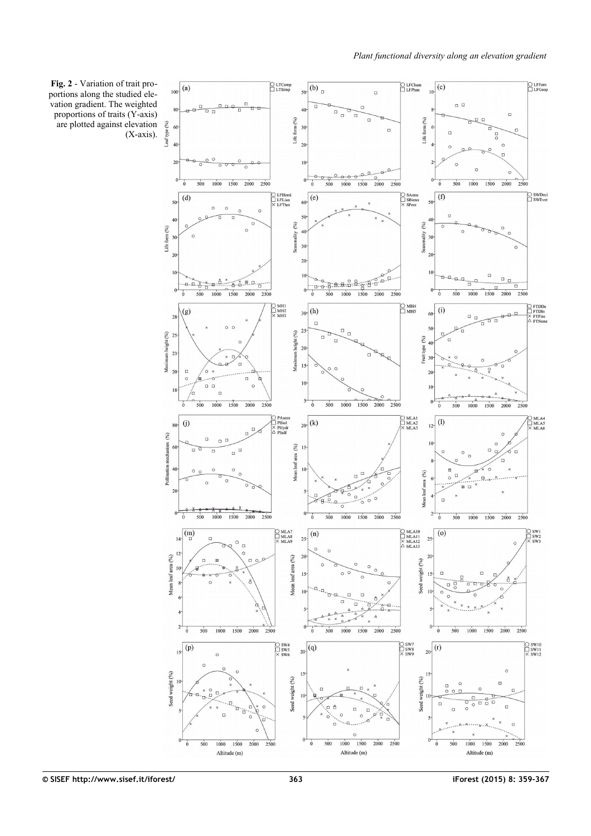<span id="page-4-0"></span>**Fig. 2** - Variation of trait proportions along the studied elevation gradient. The weighted proportions of traits (Y-axis) are plotted against elevation (X-axis).

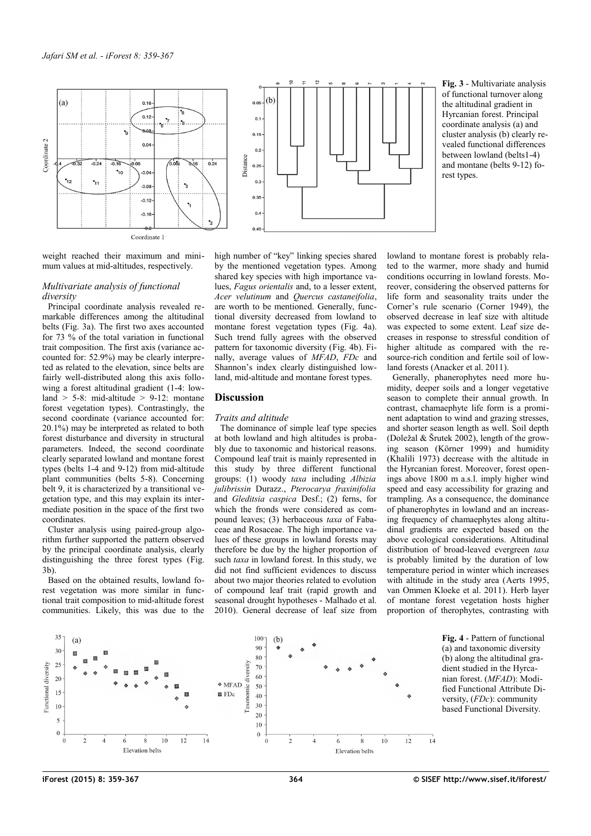

<span id="page-5-1"></span>**Fig. 3** - Multivariate analysis of functional turnover along the altitudinal gradient in Hyrcanian forest. Principal coordinate analysis (a) and cluster analysis (b) clearly revealed functional differences between lowland (belts1-4) and montane (belts 9-12) forest types.

weight reached their maximum and minimum values at mid-altitudes, respectively.

#### *Multivariate analysis of functional diversity*

Principal coordinate analysis revealed remarkable differences among the altitudinal belts [\(Fig. 3a](#page-5-1)). The first two axes accounted for 73 % of the total variation in functional trait composition. The first axis (variance accounted for: 52.9%) may be clearly interpreted as related to the elevation, since belts are fairly well-distributed along this axis following a forest altitudinal gradient (1-4: lowland  $> 5-8$ : mid-altitude  $> 9-12$ : montane forest vegetation types). Contrastingly, the second coordinate (variance accounted for: 20.1%) may be interpreted as related to both forest disturbance and diversity in structural parameters. Indeed, the second coordinate clearly separated lowland and montane forest types (belts 1-4 and 9-12) from mid-altitude plant communities (belts 5-8). Concerning belt 9, it is characterized by a transitional vegetation type, and this may explain its intermediate position in the space of the first two coordinates.

Cluster analysis using paired-group algorithm further supported the pattern observed by the principal coordinate analysis, clearly distinguishing the three forest types [\(Fig.](#page-5-1) [3b](#page-5-1)).

Based on the obtained results, lowland forest vegetation was more similar in functional trait composition to mid-altitude forest communities. Likely, this was due to the high number of "key" linking species shared by the mentioned vegetation types. Among shared key species with high importance values, *Fagus orientalis* and, to a lesser extent, *Acer velutinum* and *Quercus castaneifolia*, are worth to be mentioned. Generally, functional diversity decreased from lowland to montane forest vegetation types [\(Fig. 4a](#page-5-0)). Such trend fully agrees with the observed pattern for taxonomic diversity [\(Fig. 4b](#page-5-0)). Finally, average values of *MFAD*, *FDc* and Shannon's index clearly distinguished lowland, mid-altitude and montane forest types.

# **Discussion**

## *Traits and altitude*

The dominance of simple leaf type species at both lowland and high altitudes is probably due to taxonomic and historical reasons. Compound leaf trait is mainly represented in this study by three different functional groups: (1) woody *taxa* including *Albizia julibrissin* Durazz., *Pterocarya fraxinifolia* and *Gleditsia caspica* Desf.; (2) ferns, for which the fronds were considered as compound leaves; (3) herbaceous *taxa* of Fabaceae and Rosaceae. The high importance values of these groups in lowland forests may therefore be due by the higher proportion of such *taxa* in lowland forest. In this study, we did not find sufficient evidences to discuss about two major theories related to evolution of compound leaf trait (rapid growth and seasonal drought hypotheses - Malhado et al. 2010). General decrease of leaf size from lowland to montane forest is probably related to the warmer, more shady and humid conditions occurring in lowland forests. Moreover, considering the observed patterns for life form and seasonality traits under the Corner's rule scenario (Corner 1949), the observed decrease in leaf size with altitude was expected to some extent. Leaf size decreases in response to stressful condition of higher altitude as compared with the resource-rich condition and fertile soil of lowland forests (Anacker et al. 2011).

Generally, phanerophytes need more humidity, deeper soils and a longer vegetative season to complete their annual growth. In contrast, chamaephyte life form is a prominent adaptation to wind and grazing stresses, and shorter season length as well. Soil depth (Doležal & Šrutek 2002), length of the growing season (Körner 1999) and humidity (Khalili 1973) decrease with the altitude in the Hyrcanian forest. Moreover, forest openings above 1800 m a.s.l. imply higher wind speed and easy accessibility for grazing and trampling. As a consequence, the dominance of phanerophytes in lowland and an increasing frequency of chamaephytes along altitudinal gradients are expected based on the above ecological considerations. Altitudinal distribution of broad-leaved evergreen *taxa* is probably limited by the duration of low temperature period in winter which increases with altitude in the study area (Aerts 1995, van Ommen Kloeke et al. 2011). Herb layer of montane forest vegetation hosts higher proportion of therophytes, contrasting with



<span id="page-5-0"></span>**Fig. 4** - Pattern of functional (a) and taxonomic diversity (b) along the altitudinal gradient studied in the Hyrcanian forest. (*MFAD*): Modified Functional Attribute Diversity, (*FDc*): community based Functional Diversity.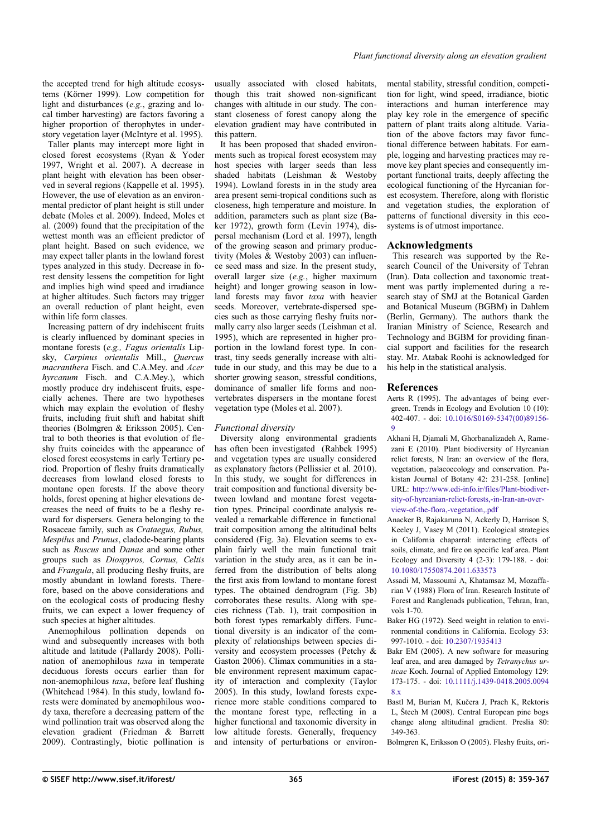the accepted trend for high altitude ecosystems (Körner 1999). Low competition for light and disturbances (*e.g.*, grazing and local timber harvesting) are factors favoring a higher proportion of therophytes in understory vegetation layer (McIntyre et al. 1995).

Taller plants may intercept more light in closed forest ecosystems (Ryan & Yoder 1997, Wright et al. 2007). A decrease in plant height with elevation has been observed in several regions (Kappelle et al. 1995). However, the use of elevation as an environmental predictor of plant height is still under debate (Moles et al. 2009). Indeed, Moles et al. (2009) found that the precipitation of the wettest month was an efficient predictor of plant height. Based on such evidence, we may expect taller plants in the lowland forest types analyzed in this study. Decrease in forest density lessens the competition for light and implies high wind speed and irradiance at higher altitudes. Such factors may trigger an overall reduction of plant height, even within life form classes.

Increasing pattern of dry indehiscent fruits is clearly influenced by dominant species in montane forests (*e.g., Fagus orientalis* Lipsky, *Carpinus orientalis* Mill., *Quercus macranthera* Fisch. and C.A.Mey. and *Acer hyrcanum* Fisch. and C.A.Mey.), which mostly produce dry indehiscent fruits, especially achenes. There are two hypotheses which may explain the evolution of fleshy fruits, including fruit shift and habitat shift theories (Bolmgren & Eriksson 2005). Central to both theories is that evolution of fleshy fruits coincides with the appearance of closed forest ecosystems in early Tertiary period. Proportion of fleshy fruits dramatically decreases from lowland closed forests to montane open forests. If the above theory holds, forest opening at higher elevations decreases the need of fruits to be a fleshy reward for dispersers. Genera belonging to the Rosaceae family, such as *Crataegus, Rubus, Mespilus* and *Prunus*, cladode-bearing plants such as *Ruscus* and *Danae* and some other groups such as *Diospyros, Cornus, Celtis* and *Frangula*, all producing fleshy fruits, are mostly abundant in lowland forests. Therefore, based on the above considerations and on the ecological costs of producing fleshy fruits, we can expect a lower frequency of such species at higher altitudes.

Anemophilous pollination depends on wind and subsequently increases with both altitude and latitude (Pallardy 2008). Pollination of anemophilous *taxa* in temperate deciduous forests occurs earlier than for non-anemophilous *taxa*, before leaf flushing (Whitehead 1984). In this study, lowland forests were dominated by anemophilous woody taxa, therefore a decreasing pattern of the wind pollination trait was observed along the elevation gradient (Friedman & Barrett 2009). Contrastingly, biotic pollination is usually associated with closed habitats, though this trait showed non-significant changes with altitude in our study. The constant closeness of forest canopy along the elevation gradient may have contributed in this pattern.

It has been proposed that shaded environments such as tropical forest ecosystem may host species with larger seeds than less shaded habitats (Leishman & Westoby 1994). Lowland forests in in the study area area present semi-tropical conditions such as closeness, high temperature and moisture. In addition, parameters such as plant size (Baker 1972), growth form (Levin 1974), dispersal mechanism (Lord et al. 1997), length of the growing season and primary productivity (Moles & Westoby 2003) can influence seed mass and size. In the present study, overall larger size (*e.g.*, higher maximum height) and longer growing season in lowland forests may favor *taxa* with heavier seeds. Moreover, vertebrate-dispersed species such as those carrying fleshy fruits normally carry also larger seeds (Leishman et al. 1995), which are represented in higher proportion in the lowland forest type. In contrast, tiny seeds generally increase with altitude in our study, and this may be due to a shorter growing season, stressful conditions, dominance of smaller life forms and nonvertebrates dispersers in the montane forest vegetation type (Moles et al. 2007).

## *Functional diversity*

Diversity along environmental gradients has often been investigated (Rahbek 1995) and vegetation types are usually considered as explanatory factors (Pellissier et al. 2010). In this study, we sought for differences in trait composition and functional diversity between lowland and montane forest vegetation types. Principal coordinate analysis revealed a remarkable difference in functional trait composition among the altitudinal belts considered [\(Fig. 3a](#page-5-1)). Elevation seems to explain fairly well the main functional trait variation in the study area, as it can be inferred from the distribution of belts along the first axis from lowland to montane forest types. The obtained dendrogram [\(Fig. 3b](#page-5-1)) corroborates these results. Along with species richness [\(Tab. 1\)](#page-1-1), trait composition in both forest types remarkably differs. Functional diversity is an indicator of the complexity of relationships between species diversity and ecosystem processes (Petchy & Gaston 2006). Climax communities in a stable environment represent maximum capacity of interaction and complexity (Taylor 2005). In this study, lowland forests experience more stable conditions compared to the montane forest type, reflecting in a higher functional and taxonomic diversity in low altitude forests. Generally, frequency and intensity of perturbations or environmental stability, stressful condition, competition for light, wind speed, irradiance, biotic interactions and human interference may play key role in the emergence of specific pattern of plant traits along altitude. Variation of the above factors may favor functional difference between habitats. For eample, logging and harvesting practices may remove key plant species and consequently important functional traits, deeply affecting the ecological functioning of the Hyrcanian forest ecosystem. Therefore, along with floristic and vegetation studies, the exploration of patterns of functional diversity in this ecosystems is of utmost importance.

#### **Acknowledgments**

This research was supported by the Research Council of the University of Tehran (Iran). Data collection and taxonomic treatment was partly implemented during a research stay of SMJ at the Botanical Garden and Botanical Museum (BGBM) in Dahlem (Berlin, Germany). The authors thank the Iranian Ministry of Science, Research and Technology and BGBM for providing financial support and facilities for the research stay. Mr. Atabak Roohi is acknowledged for his help in the statistical analysis.

#### **References**

Aerts R (1995). The advantages of being evergreen. Trends in Ecology and Evolution 10 (10): 402-407. - doi: [10.1016/S0169-5347\(00\)89156-](http://dx.doi.org/10.1016/S0169-5347(00)89156-9) [9](http://dx.doi.org/10.1016/S0169-5347(00)89156-9)

- Akhani H, Djamali M, Ghorbanalizadeh A, Ramezani E (2010). Plant biodiversity of Hyrcanian relict forests, N Iran: an overview of the flora, vegetation, palaeoecology and conservation. Pakistan Journal of Botany 42: 231-258. [online] URL: [http://www.edi-info.ir/files/Plant-biodiver](http://www.edi-info.ir/files/Plant-biodiversity-of-hyrcanian-relict-forests,-in-Iran-an-overview-of-the-flora,-vegetation,.pdf)[sity-of-hyrcanian-relict-forests,-in-Iran-an-over](http://www.edi-info.ir/files/Plant-biodiversity-of-hyrcanian-relict-forests,-in-Iran-an-overview-of-the-flora,-vegetation,.pdf)[view-of-the-flora,-vegetation,.pdf](http://www.edi-info.ir/files/Plant-biodiversity-of-hyrcanian-relict-forests,-in-Iran-an-overview-of-the-flora,-vegetation,.pdf)
- Anacker B, Rajakaruna N, Ackerly D, Harrison S, Keeley J, Vasey M (2011). Ecological strategies in California chaparral: interacting effects of soils, climate, and fire on specific leaf area. Plant Ecology and Diversity  $4(2-3)$ : 179-188. - doi: [10.1080/17550874.2011.633573](http://dx.doi.org/10.1080/17550874.2011.633573)
- Assadi M, Massoumi A, Khatamsaz M, Mozaffarian V (1988) Flora of Iran. Research Institute of Forest and Ranglenads publication, Tehran, Iran, vols 1-70.
- Baker HG (1972). Seed weight in relation to environmental conditions in California. Ecology 53: 997-1010. - doi: [10.2307/1935413](http://dx.doi.org/10.2307/1935413)
- Bakr EM (2005). A new software for measuring leaf area, and area damaged by *Tetranychus urticae* Koch. Journal of Applied Entomology 129: 173-175. - doi: [10.1111/j.1439-0418.2005.0094](http://dx.doi.org/10.1111/j.1439-0418.2005.00948.x) [8.x](http://dx.doi.org/10.1111/j.1439-0418.2005.00948.x)
- Bastl M, Burian M, Kučera J, Prach K, Rektoris L, Štech M (2008). Central European pine bogs change along altitudinal gradient. Preslia 80: 349-363.

Bolmgren K, Eriksson O (2005). Fleshy fruits, ori-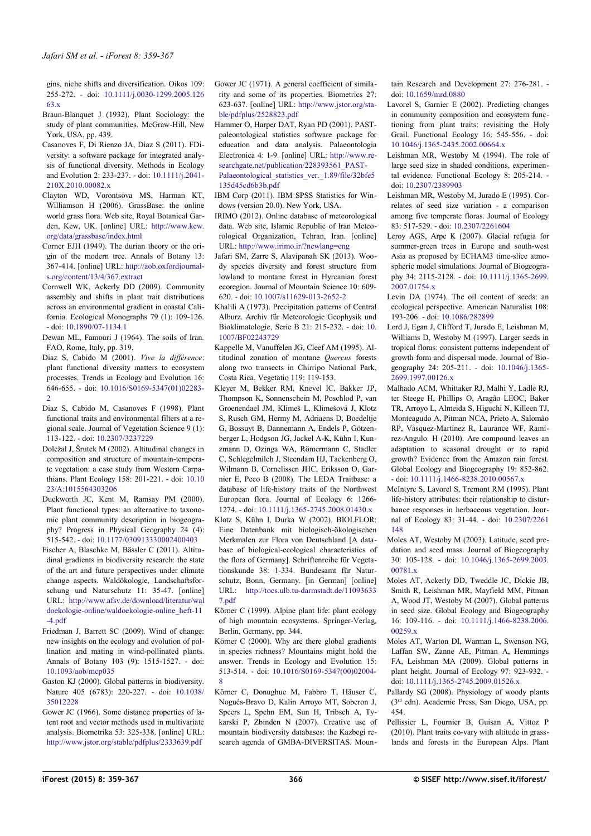gins, niche shifts and diversification. Oikos 109: 255-272. - doi: [10.1111/j.0030-1299.2005.126](http://dx.doi.org/10.1111/j.0030-1299.2005.12663.x) [63.x](http://dx.doi.org/10.1111/j.0030-1299.2005.12663.x)

- Braun-Blanquet J (1932). Plant Sociology: the study of plant communities. McGraw-Hill, New York, USA, pp. 439.
- Casanoves F, Di Rienzo JA, Diaz S (2011). FDiversity: a software package for integrated analysis of functional diversity. Methods in Ecology and Evolution 2: 233-237. - doi: [10.1111/j.2041-](http://dx.doi.org/10.1111/j.2041-210X.2010.00082.x) [210X.2010.00082.x](http://dx.doi.org/10.1111/j.2041-210X.2010.00082.x)
- Clayton WD, Vorontsova MS, Harman KT, Williamson H (2006). GrassBase: the online world grass flora. Web site, Royal Botanical Garden, Kew, UK. [online] URL: [http://www.kew.](http://www.kew.org/data/grassbase/index.html) [org/data/grassbase/index.html](http://www.kew.org/data/grassbase/index.html)
- Corner EJH (1949). The durian theory or the origin of the modern tree. Annals of Botany 13: 367-414. [online] URL: [http://aob.oxfordjournal](http://aob.oxfordjournals.org/content/13/4/367.extract)[s.org/content/13/4/367.extract](http://aob.oxfordjournals.org/content/13/4/367.extract)
- Cornwell WK, Ackerly DD (2009). Community assembly and shifts in plant trait distributions across an environmental gradient in coastal California. Ecological Monographs 79 (1): 109-126. - doi: [10.1890/07-1134.1](http://dx.doi.org/10.1890/07-1134.1)
- Dewan ML, Famouri J (1964). The soils of Iran. FAO, Rome, Italy, pp. 319.
- Diaz S, Cabido M (2001). *Vive la différence*: plant functional diversity matters to ecosystem processes. Trends in Ecology and Evolution 16: 646-655. - doi: [10.1016/S0169-5347\(01\)02283-](http://dx.doi.org/10.1016/S0169-5347(01)02283-2)  $\mathcal{L}$
- Diaz S, Cabido M, Casanoves F (1998). Plant functional traits and environmental filters at a regional scale. Journal of Vegetation Science 9 (1): 113-122. - doi: [10.2307/3237229](http://dx.doi.org/10.2307/3237229)
- Doležal J, Šrutek M (2002). Altitudinal changes in composition and structure of mountain-temperate vegetation: a case study from Western Carpathians. Plant Ecology 158: 201-221. - doi: [10.10](http://dx.doi.org/10.1023/A:1015564303206) [23/A:1015564303206](http://dx.doi.org/10.1023/A:1015564303206)
- Duckworth JC, Kent M, Ramsay PM (2000). Plant functional types: an alternative to taxonomic plant community description in biogeography? Progress in Physical Geography 24 (4): 515-542. - doi: [10.1177/030913330002400403](http://dx.doi.org/10.1177/030913330002400403)
- Fischer A, Blaschke M, Bässler C (2011). Altitudinal gradients in biodiversity research: the state of the art and future perspectives under climate change aspects. Waldökologie, Landschaftsforschung und Naturschutz 11: 35-47. [online] URL: [http://www.afsv.de/download/literatur/wal](http://www.afsv.de/download/literatur/waldoekologie-online/waldoekologie-online_heft-11-4.pdf) [doekologie-online/waldoekologie-online\\_heft-11](http://www.afsv.de/download/literatur/waldoekologie-online/waldoekologie-online_heft-11-4.pdf) [-4.pdf](http://www.afsv.de/download/literatur/waldoekologie-online/waldoekologie-online_heft-11-4.pdf)
- Friedman J, Barrett SC (2009). Wind of change: new insights on the ecology and evolution of pollination and mating in wind-pollinated plants. Annals of Botany 103 (9): 1515-1527. - doi: [10.1093/aob/mcp035](http://dx.doi.org/10.1093/aob/mcp035)
- Gaston KJ (2000). Global patterns in biodiversity. Nature 405 (6783): 220-227. - doi: [10.1038/](http://dx.doi.org/10.1038/35012228) [35012228](http://dx.doi.org/10.1038/35012228)
- Gower JC (1966). Some distance properties of latent root and vector methods used in multivariate analysis. Biometrika 53: 325-338. [online] URL: <http://www.jstor.org/stable/pdfplus/2333639.pdf>

Gower JC (1971). A general coefficient of similarity and some of its properties. Biometrics 27: 623-637. [online] URL: [http://www.jstor.org/sta](http://www.jstor.org/stable/pdfplus/2528823.pdf)[ble/pdfplus/2528823.pdf](http://www.jstor.org/stable/pdfplus/2528823.pdf)

- Hammer O, Harper DAT, Ryan PD (2001). PASTpaleontological statistics software package for education and data analysis. Palaeontologia Electronica 4: 1-9. [online] URL: [http://www.re](http://www.researchgate.net/publication/228393561_PASTPalaeontological_statistics_ver._1.89/file/32bfe5135d45cd6b3b.pdf)searchgate.net/publication/228393561\_PAST-Palaeontological statistics ver. 1.89/file/32bfe5 [135d45cd6b3b.pdf](http://www.researchgate.net/publication/228393561_PASTPalaeontological_statistics_ver._1.89/file/32bfe5135d45cd6b3b.pdf)
- IBM Corp (2011). IBM SPSS Statistics for Windows (version 20.0). New York, USA.
- IRIMO (2012). Online database of meteorological data. Web site, Islamic Republic of Iran Meteorological Organization, Tehran, Iran. [online] URL:<http://www.irimo.ir/?newlang=eng>
- Jafari SM, Zarre S, Alavipanah SK (2013). Woody species diversity and forest structure from lowland to montane forest in Hyrcanian forest ecoregion. Journal of Mountain Science 10: 609- 620. - doi: [10.1007/s11629-013-2652-2](http://dx.doi.org/10.1007/s11629-013-2652-2)
- Khalili A (1973). Precipitation patterns of Central Alburz. Archiv für Meteorologie Geophysik und Bioklimatologie, Serie B 21: 215-232. - doi: [10.](http://dx.doi.org/10.1007/BF02243729) [1007/BF02243729](http://dx.doi.org/10.1007/BF02243729)
- Kappelle M, Vanuffelen JG, Cleef AM (1995). Altitudinal zonation of montane *Quercus* forests along two transects in Chirripo National Park, Costa Rica. Vegetatio 119: 119-153.
- Kleyer M, Bekker RM, Knevel IC, Bakker JP, Thompson K, Sonnenschein M, Poschlod P, van Groenendael JM, Klimeš L, Klimešová J, Klotz S, Rusch GM, Hermy M, Adriaens D, Boedeltje G, Bossuyt B, Dannemann A, Endels P, Götzenberger L, Hodgson JG, Jackel A-K, Kühn I, Kunzmann D, Ozinga WA, Römermann C, Stadler C, Schlegelmilch J, Steendam HJ, Tackenberg O, Wilmann B, Cornelissen JHC, Eriksson O, Garnier E, Peco B (2008). The LEDA Traitbase: a database of life-history traits of the Northwest European flora. Journal of Ecology 6: 1266- 1274. - doi: [10.1111/j.1365-2745.2008.01430.x](http://dx.doi.org/10.1111/j.1365-2745.2008.01430.x)
- Klotz S, Kühn I, Durka W (2002). BIOLFLOR: Eine Datenbank mit biologisch-ökologischen Merkmalen zur Flora von Deutschland [A database of biological-ecological characteristics of the flora of Germany]. Schriftenreihe für Vegetationskunde 38: 1-334. Bundesamt für Naturschutz, Bonn, Germany. [in German] [online] URL: [http://tocs.ulb.tu-darmstadt.de/11093633](http://tocs.ulb.tu-darmstadt.de/110936337.pdf) [7.pdf](http://tocs.ulb.tu-darmstadt.de/110936337.pdf)
- Körner C (1999). Alpine plant life: plant ecology of high mountain ecosystems. Springer-Verlag, Berlin, Germany, pp. 344.
- Körner C (2000). Why are there global gradients in species richness? Mountains might hold the answer. Trends in Ecology and Evolution 15: 513-514. - doi: [10.1016/S0169-5347\(00\)02004-](http://dx.doi.org/10.1016/S0169-5347(00)02004-8) [8](http://dx.doi.org/10.1016/S0169-5347(00)02004-8)
- Körner C, Donughue M, Fabbro T, Häuser C, Nogués-Bravo D, Kalin Arroyo MT, Soberon J, Speers L, Spehn EM, Sun H, Tribsch A, Tykarski P, Zbinden N (2007). Creative use of mountain biodiversity databases: the Kazbegi research agenda of GMBA-DIVERSITAS. Moun-

tain Research and Development 27: 276-281. doi: [10.1659/mrd.0880](http://dx.doi.org/10.1659/mrd.0880)

- Lavorel S, Garnier E (2002). Predicting changes in community composition and ecosystem functioning from plant traits: revisiting the Holy Grail. Functional Ecology 16: 545-556. - doi: [10.1046/j.1365-2435.2002.00664.x](http://dx.doi.org/10.1046/j.1365-2435.2002.00664.x)
- Leishman MR, Westoby M (1994). The role of large seed size in shaded conditions, experimental evidence. Functional Ecology 8: 205-214. doi: [10.2307/2389903](http://dx.doi.org/10.2307/2389903)
- Leishman MR, Westoby M, Jurado E (1995). Correlates of seed size variation - a comparison among five temperate floras. Journal of Ecology 83: 517-529. - doi: [10.2307/2261604](http://dx.doi.org/10.2307/2261604)
- Leroy AGS, Arpe K (2007). Glacial refugia for summer-green trees in Europe and south-west Asia as proposed by ECHAM3 time-slice atmospheric model simulations. Journal of Biogeography 34: 2115-2128. - doi: [10.1111/j.1365-2699.](http://dx.doi.org/10.1111/j.1365-2699.2007.01754.x) [2007.01754.x](http://dx.doi.org/10.1111/j.1365-2699.2007.01754.x)
- Levin DA (1974). The oil content of seeds: an ecological perspective. American Naturalist 108: 193-206. - doi: [10.1086/282899](http://dx.doi.org/10.1086/282899)
- Lord J, Egan J, Clifford T, Jurado E, Leishman M, Williams D, Westoby M (1997). Larger seeds in tropical floras: consistent patterns independent of growth form and dispersal mode. Journal of Biogeography 24: 205-211. - doi: [10.1046/j.1365-](http://dx.doi.org/10.1046/j.1365-2699.1997.00126.x) [2699.1997.00126.x](http://dx.doi.org/10.1046/j.1365-2699.1997.00126.x)
- Malhado ACM, Whittaker RJ, Malhi Y, Ladle RJ, ter Steege H, Phillips O, Aragão LEOC, Baker TR, Arroyo L, Almeida S, Higuchi N, Killeen TJ, Monteagudo A, Pitman NCA, Prieto A, Salomão RP, Vásquez-Martínez R, Laurance WF, Ramírez-Angulo. H (2010). Are compound leaves an adaptation to seasonal drought or to rapid growth? Evidence from the Amazon rain forest. Global Ecology and Biogeography 19: 852-862. - doi: [10.1111/j.1466-8238.2010.00567.x](http://dx.doi.org/10.1111/j.1466-8238.2010.00567.x)
- McIntyre S, Lavorel S, Tremont RM (1995). Plant life-history attributes: their relationship to disturbance responses in herbaceous vegetation. Journal of Ecology 83: 31-44. - doi: [10.2307/2261](http://dx.doi.org/10.2307/2261148) [148](http://dx.doi.org/10.2307/2261148)
- Moles AT, Westoby M (2003). Latitude, seed predation and seed mass. Journal of Biogeography 30: 105-128. - doi: [10.1046/j.1365-2699.2003.](http://dx.doi.org/10.1046/j.1365-2699.2003.00781.x) [00781.x](http://dx.doi.org/10.1046/j.1365-2699.2003.00781.x)
- Moles AT, Ackerly DD, Tweddle JC, Dickie JB, Smith R, Leishman MR, Mayfield MM, Pitman A, Wood JT, Westoby M (2007). Global patterns in seed size. Global Ecology and Biogeography 16: 109-116. - doi: [10.1111/j.1466-8238.2006.](http://dx.doi.org/10.1111/j.1466-8238.2006.00259.x) [00259.x](http://dx.doi.org/10.1111/j.1466-8238.2006.00259.x)
- Moles AT, Warton DI, Warman L, Swenson NG, Laffan SW, Zanne AE, Pitman A, Hemmings FA, Leishman MA (2009). Global patterns in plant height. Journal of Ecology 97: 923-932. doi: [10.1111/j.1365-2745.2009.01526.x](http://dx.doi.org/10.1111/j.1365-2745.2009.01526.x)
- Pallardy SG (2008). Physiology of woody plants (3rd edn). Academic Press, San Diego, USA, pp. 454.
- Pellissier L, Fournier B, Guisan A, Vittoz P (2010). Plant traits co-vary with altitude in grasslands and forests in the European Alps. Plant